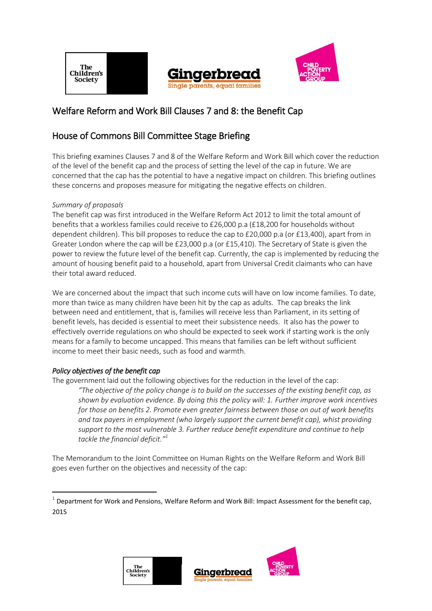The **Children's Society** 





# Welfare Reform and Work Bill Clauses 7 and 8: the Benefit Cap

# House of Commons Bill Committee Stage Briefing

This briefing examines Clauses 7 and 8 of the Welfare Reform and Work Bill which cover the reduction of the level of the benefit cap and the process of setting the level of the cap in future. We are concerned that the cap has the potential to have a negative impact on children. This briefing outlines these concerns and proposes measure for mitigating the negative effects on children.

# *Summary of proposals*

The benefit cap was first introduced in the Welfare Reform Act 2012 to limit the total amount of benefits that a workless families could receive to £26,000 p.a (£18,200 for households without dependent children). This bill proposes to reduce the cap to £20,000 p.a (or £13,400), apart from in Greater London where the cap will be £23,000 p.a (or £15,410). The Secretary of State is given the power to review the future level of the benefit cap. Currently, the cap is implemented by reducing the amount of housing benefit paid to a household, apart from Universal Credit claimants who can have their total award reduced.

We are concerned about the impact that such income cuts will have on low income families. To date, more than twice as many children have been hit by the cap as adults. The cap breaks the link between need and entitlement, that is, families will receive less than Parliament, in its setting of benefit levels, has decided is essential to meet their subsistence needs. It also has the power to effectively override regulations on who should be expected to seek work if starting work is the only means for a family to become uncapped. This means that families can be left without sufficient income to meet their basic needs, such as food and warmth.

# *Policy objectives of the benefit cap*

**.** 

The government laid out the following objectives for the reduction in the level of the cap: *"The objective of the policy change is to build on the successes of the existing benefit cap, as shown by evaluation evidence. By doing this the policy will: 1. Further improve work incentives for those on benefits 2. Promote even greater fairness between those on out of work benefits and tax payers in employment (who largely support the current benefit cap), whist providing support to the most vulnerable 3. Further reduce benefit expenditure and continue to help tackle the financial deficit." 1*

The Memorandum to the Joint Committee on Human Rights on the Welfare Reform and Work Bill goes even further on the objectives and necessity of the cap:





 $^1$  Department for Work and Pensions, Welfare Reform and Work Bill: Impact Assessment for the benefit cap, 2015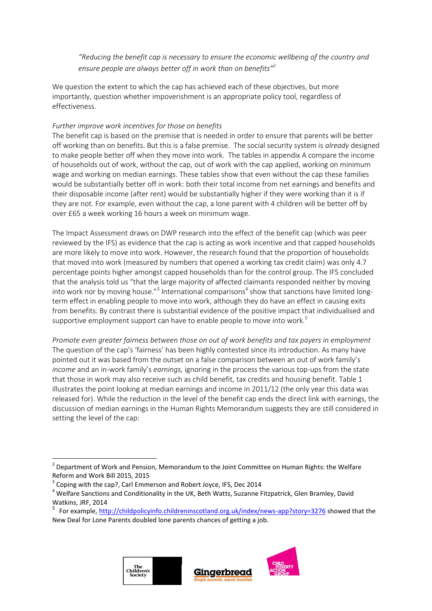*"Reducing the benefit cap is necessary to ensure the economic wellbeing of the country and ensure people are always better off in work than on benefits" 2*

We question the extent to which the cap has achieved each of these objectives, but more importantly, question whether impoverishment is an appropriate policy tool, regardless of effectiveness.

### *Further improve work incentives for those on benefits*

The benefit cap is based on the premise that is needed in order to ensure that parents will be better off working than on benefits. But this is a false premise. The social security system is *already* designed to make people better off when they move into work. The tables in appendix A compare the income of households out of work, without the cap, out of work with the cap applied, working on minimum wage and working on median earnings. These tables show that even without the cap these families would be substantially better off in work: both their total income from net earnings and benefits and their disposable income (after rent) would be substantially higher if they were working than it is if they are not. For example, even without the cap, a lone parent with 4 children will be better off by over £65 a week working 16 hours a week on minimum wage.

The Impact Assessment draws on DWP research into the effect of the benefit cap (which was peer reviewed by the IFS) as evidence that the cap is acting as work incentive and that capped households are more likely to move into work. However, the research found that the proportion of households that moved into work (measured by numbers that opened a working tax credit claim) was only 4.7 percentage points higher amongst capped households than for the control group. The IFS concluded that the analysis told us "that the large majority of affected claimants responded neither by moving into work nor by moving house."<sup>3</sup> International comparisons<sup>4</sup> show that sanctions have limited longterm effect in enabling people to move into work, although they do have an effect in causing exits from benefits. By contrast there is substantial evidence of the positive impact that individualised and supportive employment support can have to enable people to move into work.<sup>5</sup>

*Promote even greater fairness between those on out of work benefits and tax payers in employment*  The question of the cap's 'fairness' has been highly contested since its introduction. As many have pointed out it was based from the outset on a false comparison between an out of work family's *income* and an in-work family's *earnings,* ignoring in the process the various top-ups from the state that those in work may also receive such as child benefit, tax credits and housing benefit. Table 1 illustrates the point looking at median earnings and income in 2011/12 (the only year this data was released for). While the reduction in the level of the benefit cap ends the direct link with earnings, the discussion of median earnings in the Human Rights Memorandum suggests they are still considered in setting the level of the cap:

<sup>&</sup>lt;sup>5</sup> For example[, http://childpolicyinfo.childreninscotland.org.uk/index/news-app?story=3276](http://childpolicyinfo.childreninscotland.org.uk/index/news-app?story=3276) showed that the New Deal for Lone Parents doubled lone parents chances of getting a job.



<sup>&</sup>lt;sup>2</sup> Department of Work and Pension, Memorandum to the Joint Committee on Human Rights: the Welfare Reform and Work Bill 2015, 2015

<sup>3</sup> Coping with the cap?, Carl Emmerson and Robert Joyce, IFS, Dec 2014

 $4$  Welfare Sanctions and Conditionality in the UK, Beth Watts, Suzanne Fitzpatrick, Glen Bramley, David Watkins, JRF, 2014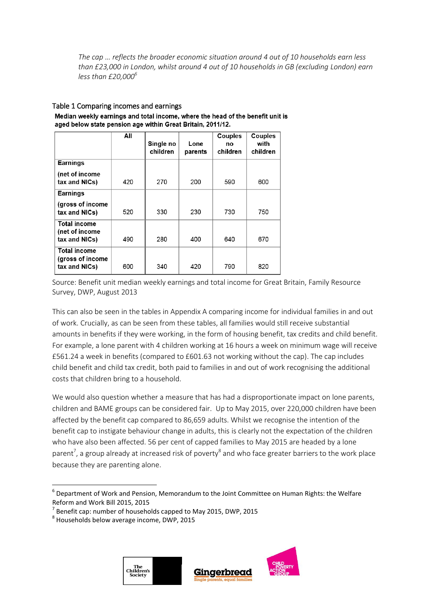*The cap … reflects the broader economic situation around 4 out of 10 households earn less than £23,000 in London, whilst around 4 out of 10 households in GB (excluding London) earn less than £20,000<sup>6</sup>*

# Table 1 Comparing incomes and earnings

|                                                          | All | Single no<br>children | Lone<br>parents | Couples<br>no<br>children | Couples<br>with<br>children |
|----------------------------------------------------------|-----|-----------------------|-----------------|---------------------------|-----------------------------|
| <b>Earnings</b>                                          |     |                       |                 |                           |                             |
| (net of income<br>tax and NICs)                          | 420 | 270                   | 200             | 590                       | 600                         |
| <b>Earnings</b>                                          |     |                       |                 |                           |                             |
| (gross of income<br>tax and NICs)                        | 520 | 330                   | 230             | 730                       | 750                         |
| <b>Total income</b><br>(net of income<br>tax and NICs)   | 490 | 280                   | 400             | 640                       | 670                         |
| <b>Total income</b><br>(gross of income<br>tax and NICs) | 600 | 340                   | 420             | 790                       | 820                         |

Median weekly earnings and total income, where the head of the benefit unit is aged below state pension age within Great Britain, 2011/12.

Source: Benefit unit median weekly earnings and total income for Great Britain, Family Resource Survey, DWP, August 2013

This can also be seen in the tables in Appendix A comparing income for individual families in and out of work. Crucially, as can be seen from these tables, all families would still receive substantial amounts in benefits if they were working, in the form of housing benefit, tax credits and child benefit. For example, a lone parent with 4 children working at 16 hours a week on minimum wage will receive £561.24 a week in benefits (compared to £601.63 not working without the cap). The cap includes child benefit and child tax credit, both paid to families in and out of work recognising the additional costs that children bring to a household.

We would also question whether a measure that has had a disproportionate impact on lone parents, children and BAME groups can be considered fair. Up to May 2015, over 220,000 children have been affected by the benefit cap compared to 86,659 adults. Whilst we recognise the intention of the benefit cap to instigate behaviour change in adults, this is clearly not the expectation of the children who have also been affected. 56 per cent of capped families to May 2015 are headed by a lone parent<sup>7</sup>, a group already at increased risk of poverty<sup>8</sup> and who face greater barriers to the work place because they are parenting alone.



<sup>6</sup> Department of Work and Pension, Memorandum to the Joint Committee on Human Rights: the Welfare Reform and Work Bill 2015, 2015

<sup>7</sup> Benefit cap: number of households capped to May 2015, DWP, 2015

<sup>8</sup> Households below average income, DWP, 2015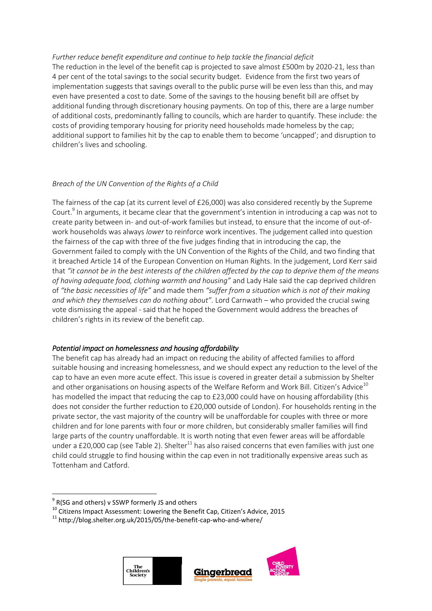### *Further reduce benefit expenditure and continue to help tackle the financial deficit*

The reduction in the level of the benefit cap is projected to save almost £500m by 2020-21, less than 4 per cent of the total savings to the social security budget. Evidence from the first two years of implementation suggests that savings overall to the public purse will be even less than this, and may even have presented a cost to date. Some of the savings to the housing benefit bill are offset by additional funding through discretionary housing payments. On top of this, there are a large number of additional costs, predominantly falling to councils, which are harder to quantify. These include: the costs of providing temporary housing for priority need households made homeless by the cap; additional support to families hit by the cap to enable them to become 'uncapped'; and disruption to children's lives and schooling.

# *Breach of the UN Convention of the Rights of a Child*

The fairness of the cap (at its current level of £26,000) was also considered recently by the Supreme Court.<sup>9</sup> In arguments, it became clear that the government's intention in introducing a cap was not to create parity between in- and out-of-work families but instead, to ensure that the income of out-ofwork households was always *lower* to reinforce work incentives. The judgement called into question the fairness of the cap with three of the five judges finding that in introducing the cap, the Government failed to comply with the UN Convention of the Rights of the Child, and two finding that it breached Article 14 of the European Convention on Human Rights. In the judgement, Lord Kerr said that *"it cannot be in the best interests of the children affected by the cap to deprive them of the means of having adequate food, clothing warmth and housing"* and Lady Hale said the cap deprived children of *"the basic necessities of life"* and made them *"suffer from a situation which is not of their making and which they themselves can do nothing about".* Lord Carnwath – who provided the crucial swing vote dismissing the appeal - said that he hoped the Government would address the breaches of children's rights in its review of the benefit cap.

# *Potential impact on homelessness and housing affordability*

The benefit cap has already had an impact on reducing the ability of affected families to afford suitable housing and increasing homelessness, and we should expect any reduction to the level of the cap to have an even more acute effect. This issue is covered in greater detail a submission by Shelter and other organisations on housing aspects of the Welfare Reform and Work Bill. Citizen's Advice<sup>10</sup> has modelled the impact that reducing the cap to £23,000 could have on housing affordability (this does not consider the further reduction to £20,000 outside of London). For households renting in the private sector, the vast majority of the country will be unaffordable for couples with three or more children and for lone parents with four or more children, but considerably smaller families will find large parts of the country unaffordable. It is worth noting that even fewer areas will be affordable under a £20,000 cap (see Table 2). Shelter<sup>11</sup> has also raised concerns that even families with just one child could struggle to find housing within the cap even in not traditionally expensive areas such as Tottenham and Catford.

 $11$  http://blog.shelter.org.uk/2015/05/the-benefit-cap-who-and-where/





 $^{9}$  R(SG and others) v SSWP formerly JS and others

<sup>&</sup>lt;sup>10</sup> Citizens Impact Assessment: Lowering the Benefit Cap, Citizen's Advice, 2015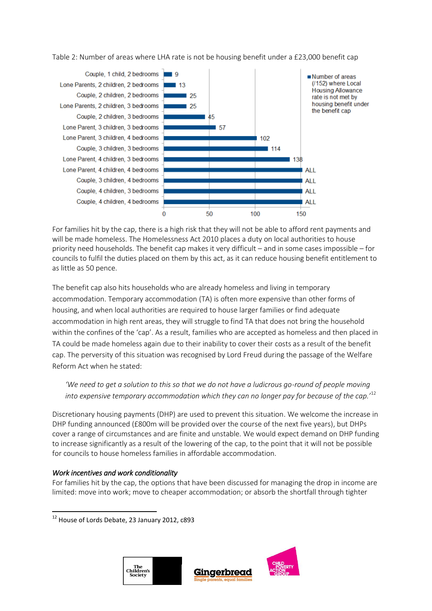Table 2: Number of areas where LHA rate is not be housing benefit under a £23,000 benefit cap



For families hit by the cap, there is a high risk that they will not be able to afford rent payments and will be made homeless. The Homelessness Act 2010 places a duty on local authorities to house priority need households. The benefit cap makes it very difficult – and in some cases impossible – for councils to fulfil the duties placed on them by this act, as it can reduce housing benefit entitlement to as little as 50 pence.

The benefit cap also hits households who are already homeless and living in temporary accommodation. Temporary accommodation (TA) is often more expensive than other forms of housing, and when local authorities are required to house larger families or find adequate accommodation in high rent areas, they will struggle to find TA that does not bring the household within the confines of the 'cap'. As a result, families who are accepted as homeless and then placed in TA could be made homeless again due to their inability to cover their costs as a result of the benefit cap. The perversity of this situation was recognised by Lord Freud during the passage of the Welfare Reform Act when he stated:

# *'We need to get a solution to this so that we do not have a ludicrous go-round of people moving into expensive temporary accommodation which they can no longer pay for because of the cap.'*<sup>12</sup>

Discretionary housing payments (DHP) are used to prevent this situation. We welcome the increase in DHP funding announced (£800m will be provided over the course of the next five years), but DHPs cover a range of circumstances and are finite and unstable. We would expect demand on DHP funding to increase significantly as a result of the lowering of the cap, to the point that it will not be possible for councils to house homeless families in affordable accommodation.

# *Work incentives and work conditionality*

**.** 

For families hit by the cap, the options that have been discussed for managing the drop in income are limited: move into work; move to cheaper accommodation; or absorb the shortfall through tighter

<sup>&</sup>lt;sup>12</sup> House of Lords Debate, 23 January 2012, c893



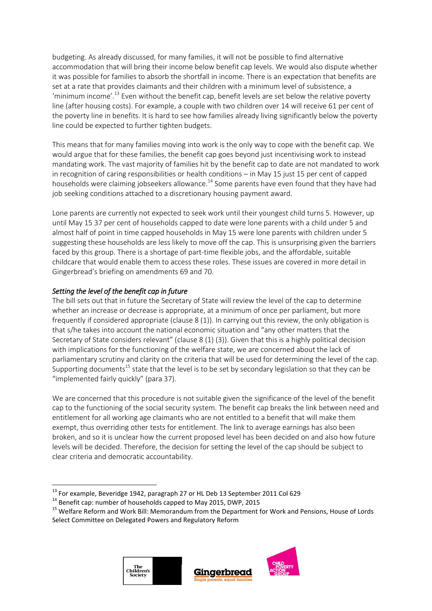budgeting. As already discussed, for many families, it will not be possible to find alternative accommodation that will bring their income below benefit cap levels. We would also dispute whether it was possible for families to absorb the shortfall in income. There is an expectation that benefits are set at a rate that provides claimants and their children with a minimum level of subsistence, a 'minimum income'.<sup>13</sup> Even without the benefit cap, benefit levels are set below the relative poverty line (after housing costs). For example, a couple with two children over 14 will receive 61 per cent of the poverty line in benefits. It is hard to see how families already living significantly below the poverty line could be expected to further tighten budgets.

This means that for many families moving into work is the only way to cope with the benefit cap. We would argue that for these families, the benefit cap goes beyond just incentivising work to instead mandating work. The vast majority of families hit by the benefit cap to date are not mandated to work in recognition of caring responsibilities or health conditions – in May 15 just 15 per cent of capped households were claiming jobseekers allowance.<sup>14</sup> Some parents have even found that they have had job seeking conditions attached to a discretionary housing payment award.

Lone parents are currently not expected to seek work until their youngest child turns 5. However, up until May 15 37 per cent of households capped to date were lone parents with a child under 5 and almost half of point in time capped households in May 15 were lone parents with children under 5 suggesting these households are less likely to move off the cap. This is unsurprising given the barriers faced by this group. There is a shortage of part-time flexible jobs, and the affordable, suitable childcare that would enable them to access these roles. These issues are covered in more detail in Gingerbread's briefing on amendments 69 and 70.

# *Setting the level of the benefit cap in future*

**.** 

The bill sets out that in future the Secretary of State will review the level of the cap to determine whether an increase or decrease is appropriate, at a minimum of once per parliament, but more frequently if considered appropriate (clause 8 (1)). In carrying out this review, the only obligation is that s/he takes into account the national economic situation and "any other matters that the Secretary of State considers relevant" (clause 8 (1) (3)). Given that this is a highly political decision with implications for the functioning of the welfare state, we are concerned about the lack of parliamentary scrutiny and clarity on the criteria that will be used for determining the level of the cap. Supporting documents<sup>15</sup> state that the level is to be set by secondary legislation so that they can be "implemented fairly quickly" (para 37).

We are concerned that this procedure is not suitable given the significance of the level of the benefit cap to the functioning of the social security system. The benefit cap breaks the link between need and entitlement for all working age claimants who are not entitled to a benefit that will make them exempt, thus overriding other tests for entitlement. The link to average earnings has also been broken, and so it is unclear how the current proposed level has been decided on and also how future levels will be decided. Therefore, the decision for setting the level of the cap should be subject to clear criteria and democratic accountability.

<sup>&</sup>lt;sup>15</sup> Welfare Reform and Work Bill: Memorandum from the Department for Work and Pensions, House of Lords Select Committee on Delegated Powers and Regulatory Reform





<sup>&</sup>lt;sup>13</sup> For example, Beveridge 1942, paragraph 27 or HL Deb 13 September 2011 Col 629

<sup>&</sup>lt;sup>14</sup> Benefit cap: number of households capped to May 2015, DWP, 2015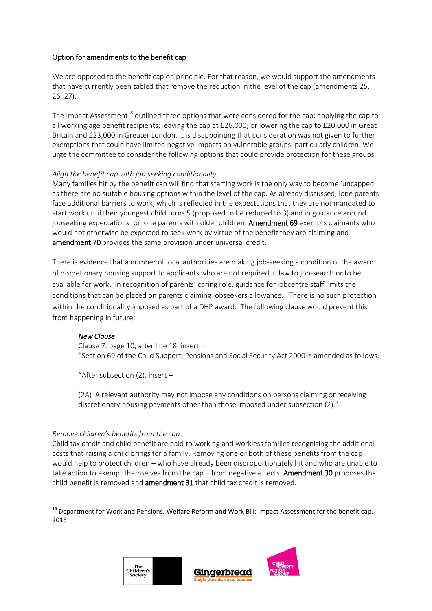### Option for amendments to the benefit cap

We are opposed to the benefit cap on principle. For that reason, we would support the amendments that have currently been tabled that remove the reduction in the level of the cap (amendments 25, 26, 27).

The Impact Assessment<sup>16</sup> outlined three options that were considered for the cap: applying the cap to all working age benefit recipients; leaving the cap at £26,000; or lowering the cap to £20,000 in Great Britain and £23,000 in Greater London. It is disappointing that consideration was not given to further exemptions that could have limited negative impacts on vulnerable groups, particularly children. We urge the committee to consider the following options that could provide protection for these groups.

#### *Align the benefit cap with job seeking conditionality*

Many families hit by the benefit cap will find that starting work is the only way to become 'uncapped' as there are no suitable housing options within the level of the cap. As already discussed, lone parents face additional barriers to work, which is reflected in the expectations that they are not mandated to start work until their youngest child turns 5 (proposed to be reduced to 3) and in guidance around jobseeking expectations for lone parents with older children. Amendment 69 exempts claimants who would not otherwise be expected to seek work by virtue of the benefit they are claiming and amendment 70 provides the same provision under universal credit.

There is evidence that a number of local authorities are making job-seeking a condition of the award of discretionary housing support to applicants who are not required in law to job-search or to be available for work. In recognition of parents' caring role, guidance for jobcentre staff limits the conditions that can be placed on parents claiming jobseekers allowance. There is no such protection within the conditionality imposed as part of a DHP award. The following clause would prevent this from happening in future:

# *New Clause*

Clause 7, page 10, after line 18, insert – "Section 69 of the Child Support, Pensions and Social Security Act 2000 is amended as follows.

"After subsection (2), insert –

(2A) A relevant authority may not impose any conditions on persons claiming or receiving discretionary housing payments other than those imposed under subsection (2)."

#### *Remove children's benefits from the cap*

1

Child tax credit and child benefit are paid to working and workless families recognising the additional costs that raising a child brings for a family. Removing one or both of these benefits from the cap would help to protect children – who have already been disproportionately hit and who are unable to take action to exempt themselves from the cap  $-$  from negative effects. Amendment 30 proposes that child benefit is removed and amendment 31 that child tax credit is removed.

<sup>&</sup>lt;sup>16</sup> Department for Work and Pensions, Welfare Reform and Work Bill: Impact Assessment for the benefit cap, 2015



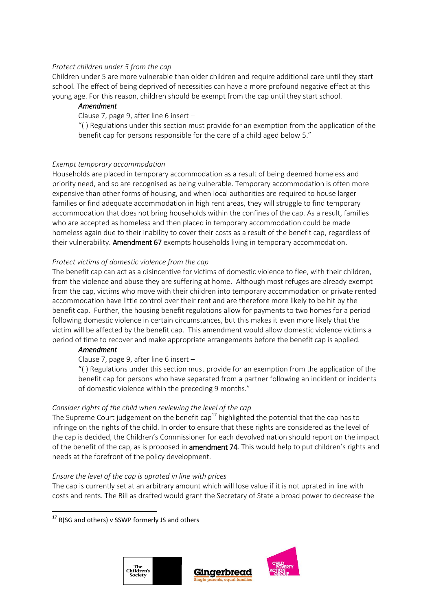#### *Protect children under 5 from the cap*

Children under 5 are more vulnerable than older children and require additional care until they start school. The effect of being deprived of necessities can have a more profound negative effect at this young age. For this reason, children should be exempt from the cap until they start school.

### *Amendment*

Clause 7, page 9, after line 6 insert –

"( ) Regulations under this section must provide for an exemption from the application of the benefit cap for persons responsible for the care of a child aged below 5."

#### *Exempt temporary accommodation*

Households are placed in temporary accommodation as a result of being deemed homeless and priority need, and so are recognised as being vulnerable. Temporary accommodation is often more expensive than other forms of housing, and when local authorities are required to house larger families or find adequate accommodation in high rent areas, they will struggle to find temporary accommodation that does not bring households within the confines of the cap. As a result, families who are accepted as homeless and then placed in temporary accommodation could be made homeless again due to their inability to cover their costs as a result of the benefit cap, regardless of their vulnerability. Amendment 67 exempts households living in temporary accommodation.

### *Protect victims of domestic violence from the cap*

The benefit cap can act as a disincentive for victims of domestic violence to flee, with their children, from the violence and abuse they are suffering at home. Although most refuges are already exempt from the cap, victims who move with their children into temporary accommodation or private rented accommodation have little control over their rent and are therefore more likely to be hit by the benefit cap. Further, the housing benefit regulations allow for payments to two homes for a period following domestic violence in certain circumstances, but this makes it even more likely that the victim will be affected by the benefit cap. This amendment would allow domestic violence victims a period of time to recover and make appropriate arrangements before the benefit cap is applied.

#### *Amendment*

Clause 7, page 9, after line 6 insert –

"( ) Regulations under this section must provide for an exemption from the application of the benefit cap for persons who have separated from a partner following an incident or incidents of domestic violence within the preceding 9 months."

#### *Consider rights of the child when reviewing the level of the cap*

The Supreme Court judgement on the benefit cap<sup>17</sup> highlighted the potential that the cap has to infringe on the rights of the child. In order to ensure that these rights are considered as the level of the cap is decided, the Children's Commissioner for each devolved nation should report on the impact of the benefit of the cap, as is proposed in **amendment 74**. This would help to put children's rights and needs at the forefront of the policy development.

#### *Ensure the level of the cap is uprated in line with prices*

The cap is currently set at an arbitrary amount which will lose value if it is not uprated in line with costs and rents. The Bill as drafted would grant the Secretary of State a broad power to decrease the



<sup>&</sup>lt;sup>17</sup> R(SG and others) v SSWP formerly JS and others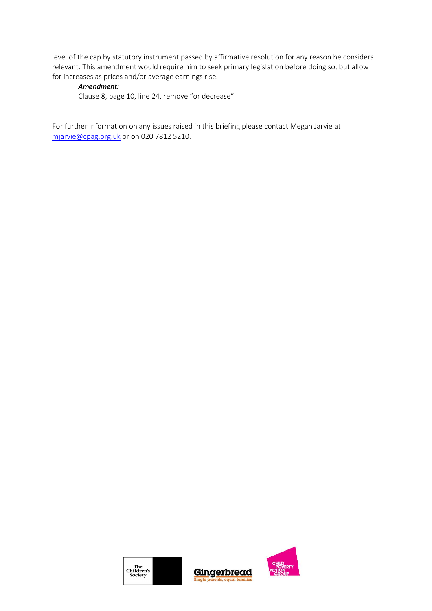level of the cap by statutory instrument passed by affirmative resolution for any reason he considers relevant. This amendment would require him to seek primary legislation before doing so, but allow for increases as prices and/or average earnings rise.

# *Amendment:*

Clause 8, page 10, line 24, remove "or decrease"

For further information on any issues raised in this briefing please contact Megan Jarvie at [mjarvie@cpag.org.uk](mailto:mjarvie@cpag.org.uk) or on 020 7812 5210.